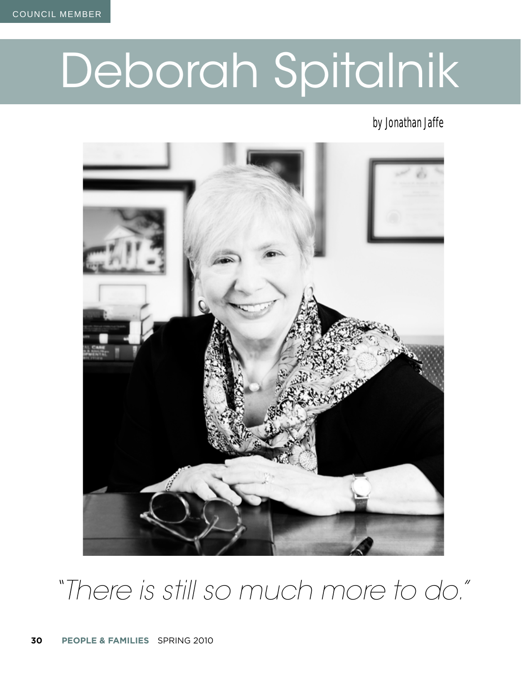# Deborah Spitalnik

#### by Jonathan Jaffe



# *"There is still so much more to do."*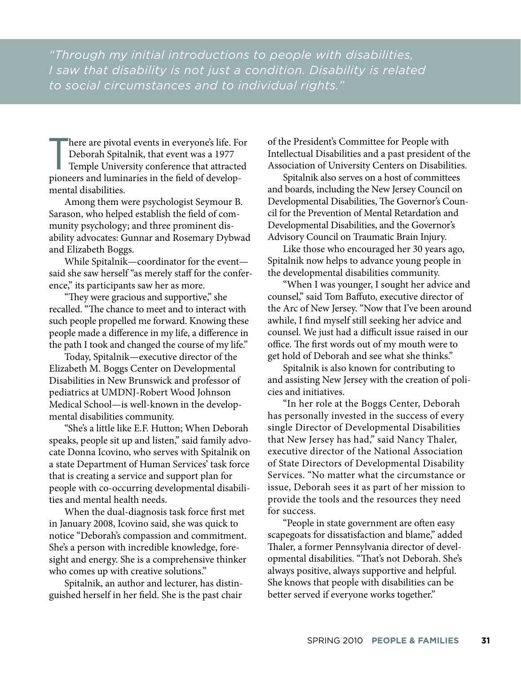*"Through my initial introductions to people with disabilities, I saw that disability is not just a condition. Disability is related to social circumstances and to individual rights."*

T here are pivotal events in everyone's life. For Deborah Spitalnik, that event was a 1977 Temple University conference that attracted pioneers and luminaries in the field of developmental disabilities.

Among them were psychologist Seymour B. Sarason, who helped establish the field of community psychology; and three prominent disability advocates: Gunnar and Rosemary Dybwad and Elizabeth Boggs.

While Spitalnik—coordinator for the event said she saw herself "as merely staff for the conference," its participants saw her as more.

"They were gracious and supportive," she recalled. "The chance to meet and to interact with such people propelled me forward. Knowing these people made a difference in my life, a difference in the path I took and changed the course of my life."

Today, Spitalnik—executive director of the Elizabeth M. Boggs Center on Developmental Disabilities in New Brunswick and professor of pediatrics at UMDNJ-Robert Wood Johnson Medical School—is well-known in the developmental disabilities community.

"She's a little like E.F. Hutton; When Deborah speaks, people sit up and listen," said family advocate Donna Icovino, who serves with Spitalnik on a state Department of Human Services' task force that is creating a service and support plan for people with co-occurring developmental disabilities and mental health needs.

When the dual-diagnosis task force first met in January 2008, Icovino said, she was quick to notice "Deborah's compassion and commitment. She's a person with incredible knowledge, foresight and energy. She is a comprehensive thinker who comes up with creative solutions."

Spitalnik, an author and lecturer, has distinguished herself in her field. She is the past chair of the President's Committee for People with Intellectual Disabilities and a past president of the Association of University Centers on Disabilities.

Spitalnik also serves on a host of committees and boards, including the New Jersey Council on Developmental Disabilities, The Governor's Council for the Prevention of Mental Retardation and Developmental Disabilities, and the Governor's Advisory Council on Traumatic Brain Injury.

Like those who encouraged her 30 years ago, Spitalnik now helps to advance young people in the developmental disabilities community.

"When I was younger, I sought her advice and counsel," said Tom Baffuto, executive director of the Arc of New Jersey. "Now that I've been around awhile, I find myself still seeking her advice and counsel. We just had a difficult issue raised in our office. The first words out of my mouth were to get hold of Deborah and see what she thinks."

Spitalnik is also known for contributing to and assisting New Jersey with the creation of policies and initiatives.

"In her role at the Boggs Center, Deborah has personally invested in the success of every single Director of Developmental Disabilities that New Jersey has had," said Nancy Thaler, executive director of the National Association of State Directors of Developmental Disability Services. "No matter what the circumstance or issue, Deborah sees it as part of her mission to provide the tools and the resources they need for success.

"People in state government are often easy scapegoats for dissatisfaction and blame," added Thaler, a former Pennsylvania director of developmental disabilities. "That's not Deborah. She's always positive, always supportive and helpful. She knows that people with disabilities can be better served if everyone works together."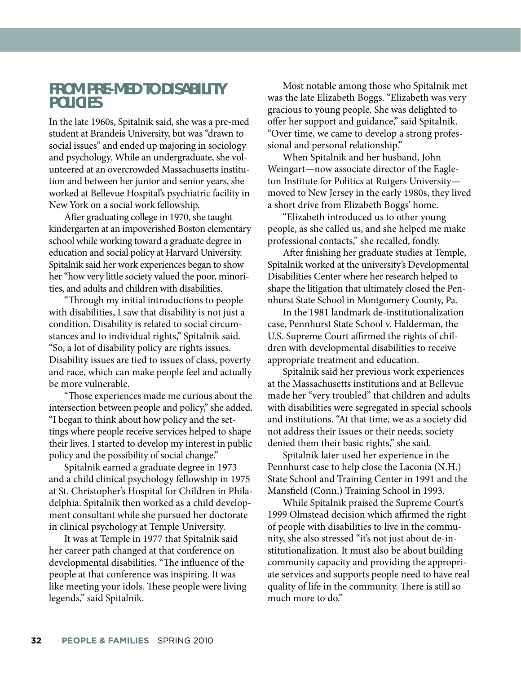#### **FROM PRE-MED TO DISABILITY POLICIES**

In the late 1960s, Spitalnik said, she was a pre-med student at Brandeis University, but was "drawn to social issues" and ended up majoring in sociology and psychology. While an undergraduate, she volunteered at an overcrowded Massachusetts institution and between her junior and senior years, she worked at Bellevue Hospital's psychiatric facility in New York on a social work fellowship.

After graduating college in 1970, she taught kindergarten at an impoverished Boston elementary school while working toward a graduate degree in education and social policy at Harvard University. Spitalnik said her work experiences began to show her "how very little society valued the poor, minorities, and adults and children with disabilities.

"Th rough my initial introductions to people with disabilities, I saw that disability is not just a condition. Disability is related to social circumstances and to individual rights," Spitalnik said. "So, a lot of disability policy are rights issues. Disability issues are tied to issues of class, poverty and race, which can make people feel and actually be more vulnerable.

"Th ose experiences made me curious about the intersection between people and policy," she added. "I began to think about how policy and the settings where people receive services helped to shape their lives. I started to develop my interest in public policy and the possibility of social change."

Spitalnik earned a graduate degree in 1973 and a child clinical psychology fellowship in 1975 at St. Christopher's Hospital for Children in Philadelphia. Spitalnik then worked as a child development consultant while she pursued her doctorate in clinical psychology at Temple University.

It was at Temple in 1977 that Spitalnik said her career path changed at that conference on developmental disabilities. "The influence of the people at that conference was inspiring. It was like meeting your idols. These people were living legends," said Spitalnik.

Most notable among those who Spitalnik met was the late Elizabeth Boggs. "Elizabeth was very gracious to young people. She was delighted to offer her support and guidance," said Spitalnik. "Over time, we came to develop a strong professional and personal relationship."

When Spitalnik and her husband, John Weingart—now associate director of the Eagleton Institute for Politics at Rutgers University moved to New Jersey in the early 1980s, they lived a short drive from Elizabeth Boggs' home.

"Elizabeth introduced us to other young people, as she called us, and she helped me make professional contacts," she recalled, fondly.

After finishing her graduate studies at Temple, Spitalnik worked at the university's Developmental Disabilities Center where her research helped to shape the litigation that ultimately closed the Pennhurst State School in Montgomery County, Pa.

In the 1981 landmark de-institutionalization case, Pennhurst State School v. Halderman, the U.S. Supreme Court affirmed the rights of children with developmental disabilities to receive appropriate treatment and education.

Spitalnik said her previous work experiences at the Massachusetts institutions and at Bellevue made her "very troubled" that children and adults with disabilities were segregated in special schools and institutions. "At that time, we as a society did not address their issues or their needs; society denied them their basic rights," she said.

Spitalnik later used her experience in the Pennhurst case to help close the Laconia (N.H.) State School and Training Center in 1991 and the Mansfield (Conn.) Training School in 1993.

While Spitalnik praised the Supreme Court's 1999 Olmstead decision which affirmed the right of people with disabilities to live in the community, she also stressed "it's not just about de-institutionalization. It must also be about building community capacity and providing the appropriate services and supports people need to have real quality of life in the community. There is still so much more to do."